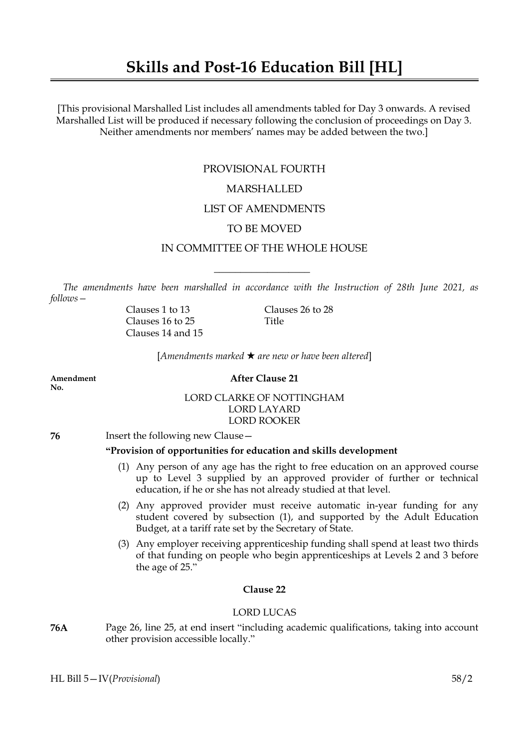# **Skills and Post-16 Education Bill [HL]**

[This provisional Marshalled List includes all amendments tabled for Day 3 onwards. A revised Marshalled List will be produced if necessary following the conclusion of proceedings on Day 3. Neither amendments nor members' names may be added between the two.]

# PROVISIONAL FOURTH

# MARSHALLED

# LIST OF AMENDMENTS

# TO BE MOVED

# IN COMMITTEE OF THE WHOLE HOUSE

 $\overline{\phantom{a}}$  , where  $\overline{\phantom{a}}$ 

*The amendments have been marshalled in accordance with the Instruction of 28th June 2021, as follows—*

> Clauses 16 to 25 Title Clauses 14 and 15

Clauses 1 to 13 Clauses 26 to 28

[*Amendments marked* \* *are new or have been altered*]

**No.**

## **Amendment After Clause 21**

LORD CLARKE OF NOTTINGHAM LORD LAYARD LORD ROOKER

**76** Insert the following new Clause—

# **"Provision of opportunities for education and skills development**

- (1) Any person of any age has the right to free education on an approved course up to Level 3 supplied by an approved provider of further or technical education, if he or she has not already studied at that level.
- (2) Any approved provider must receive automatic in-year funding for any student covered by subsection (1), and supported by the Adult Education Budget, at a tariff rate set by the Secretary of State.
- (3) Any employer receiving apprenticeship funding shall spend at least two thirds of that funding on people who begin apprenticeships at Levels 2 and 3 before the age of 25."

# **Clause 22**

## LORD LUCAS

**76A** Page 26, line 25, at end insert "including academic qualifications, taking into account other provision accessible locally."

HL Bill 5—IV(*Provisional*) 58/2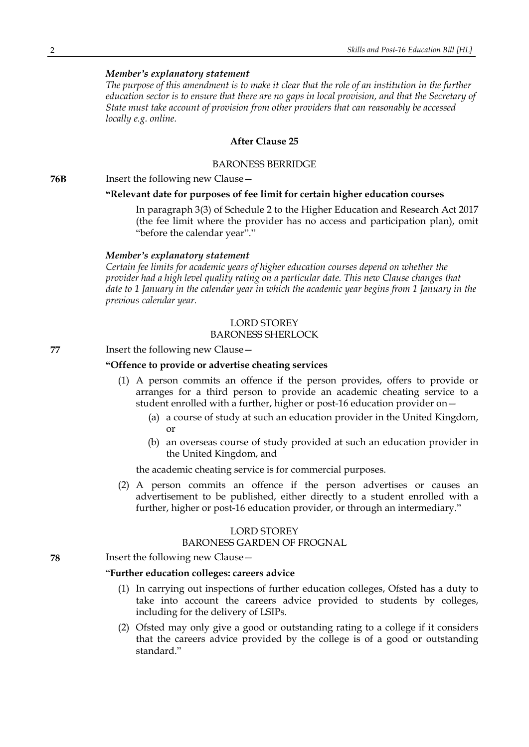*The purpose of this amendment is to make it clear that the role of an institution in the further education sector is to ensure that there are no gaps in local provision, and that the Secretary of State must take account of provision from other providers that can reasonably be accessed locally e.g. online.*

# **After Clause 25**

#### BARONESS BERRIDGE

**76B** Insert the following new Clause—

#### **"Relevant date for purposes of fee limit for certain higher education courses**

In paragraph 3(3) of Schedule 2 to the Higher Education and Research Act 2017 (the fee limit where the provider has no access and participation plan), omit "before the calendar year"."

#### *Member's explanatory statement*

*Certain fee limits for academic years of higher education courses depend on whether the provider had a high level quality rating on a particular date. This new Clause changes that date to 1 January in the calendar year in which the academic year begins from 1 January in the previous calendar year.*

## LORD STOREY BARONESS SHERLOCK

# **77** Insert the following new Clause—

# **"Offence to provide or advertise cheating services**

- (1) A person commits an offence if the person provides, offers to provide or arranges for a third person to provide an academic cheating service to a student enrolled with a further, higher or post-16 education provider on—
	- (a) a course of study at such an education provider in the United Kingdom, or
	- (b) an overseas course of study provided at such an education provider in the United Kingdom, and

the academic cheating service is for commercial purposes.

(2) A person commits an offence if the person advertises or causes an advertisement to be published, either directly to a student enrolled with a further, higher or post-16 education provider, or through an intermediary."

# LORD STOREY

#### BARONESS GARDEN OF FROGNAL

**78** Insert the following new Clause—

#### "**Further education colleges: careers advice**

- (1) In carrying out inspections of further education colleges, Ofsted has a duty to take into account the careers advice provided to students by colleges, including for the delivery of LSIPs.
- (2) Ofsted may only give a good or outstanding rating to a college if it considers that the careers advice provided by the college is of a good or outstanding standard<sup>"</sup>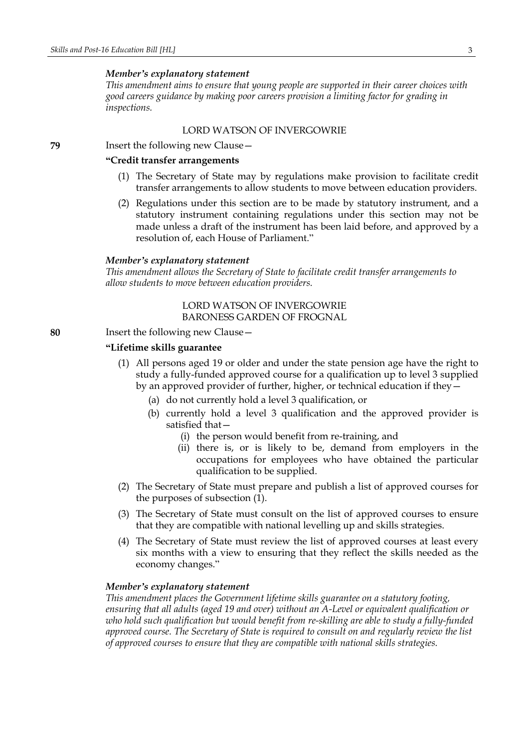*This amendment aims to ensure that young people are supported in their career choices with good careers guidance by making poor careers provision a limiting factor for grading in inspections.*

## LORD WATSON OF INVERGOWRIE

**79** Insert the following new Clause—

## **"Credit transfer arrangements**

- (1) The Secretary of State may by regulations make provision to facilitate credit transfer arrangements to allow students to move between education providers.
- (2) Regulations under this section are to be made by statutory instrument, and a statutory instrument containing regulations under this section may not be made unless a draft of the instrument has been laid before, and approved by a resolution of, each House of Parliament."

#### *Member's explanatory statement*

*This amendment allows the Secretary of State to facilitate credit transfer arrangements to allow students to move between education providers.*

# LORD WATSON OF INVERGOWRIE BARONESS GARDEN OF FROGNAL

**80** Insert the following new Clause—

## **"Lifetime skills guarantee**

- (1) All persons aged 19 or older and under the state pension age have the right to study a fully-funded approved course for a qualification up to level 3 supplied by an approved provider of further, higher, or technical education if they—
	- (a) do not currently hold a level 3 qualification, or
	- (b) currently hold a level 3 qualification and the approved provider is satisfied that—
		- (i) the person would benefit from re-training, and
		- (ii) there is, or is likely to be, demand from employers in the occupations for employees who have obtained the particular qualification to be supplied.
- (2) The Secretary of State must prepare and publish a list of approved courses for the purposes of subsection (1).
- (3) The Secretary of State must consult on the list of approved courses to ensure that they are compatible with national levelling up and skills strategies.
- (4) The Secretary of State must review the list of approved courses at least every six months with a view to ensuring that they reflect the skills needed as the economy changes."

## *Member's explanatory statement*

*This amendment places the Government lifetime skills guarantee on a statutory footing, ensuring that all adults (aged 19 and over) without an A-Level or equivalent qualification or who hold such qualification but would benefit from re-skilling are able to study a fully-funded approved course. The Secretary of State is required to consult on and regularly review the list of approved courses to ensure that they are compatible with national skills strategies.*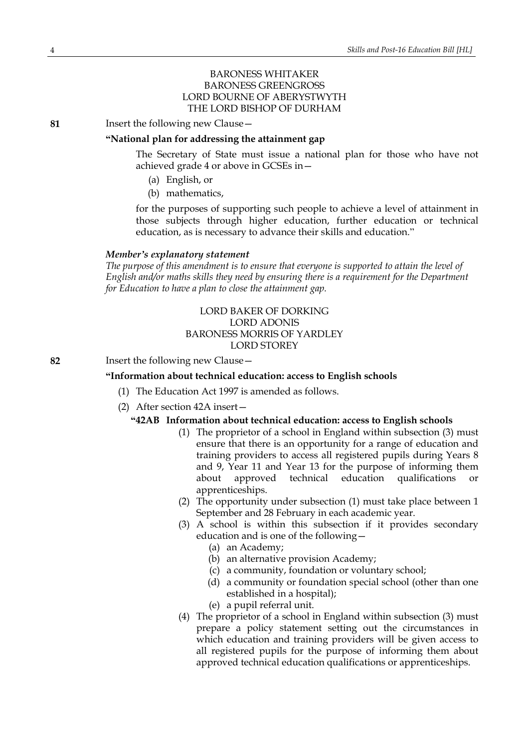# BARONESS WHITAKER BARONESS GREENGROSS LORD BOURNE OF ABERYSTWYTH THE LORD BISHOP OF DURHAM

**81** Insert the following new Clause—

#### **"National plan for addressing the attainment gap**

The Secretary of State must issue a national plan for those who have not achieved grade 4 or above in GCSEs in—

- (a) English, or
- (b) mathematics,

for the purposes of supporting such people to achieve a level of attainment in those subjects through higher education, further education or technical education, as is necessary to advance their skills and education."

#### *Member's explanatory statement*

*The purpose of this amendment is to ensure that everyone is supported to attain the level of English and/or maths skills they need by ensuring there is a requirement for the Department for Education to have a plan to close the attainment gap.*

# LORD BAKER OF DORKING LORD ADONIS BARONESS MORRIS OF YARDLEY LORD STOREY

**82** Insert the following new Clause—

#### **"Information about technical education: access to English schools**

- (1) The Education Act 1997 is amended as follows.
- (2) After section 42A insert—

#### **"42AB Information about technical education: access to English schools**

- (1) The proprietor of a school in England within subsection (3) must ensure that there is an opportunity for a range of education and training providers to access all registered pupils during Years 8 and 9, Year 11 and Year 13 for the purpose of informing them about approved technical education qualifications or apprenticeships.
- (2) The opportunity under subsection (1) must take place between 1 September and 28 February in each academic year.
- (3) A school is within this subsection if it provides secondary education and is one of the following—
	- (a) an Academy;
	- (b) an alternative provision Academy;
	- (c) a community, foundation or voluntary school;
	- (d) a community or foundation special school (other than one established in a hospital);
	- (e) a pupil referral unit.
- (4) The proprietor of a school in England within subsection (3) must prepare a policy statement setting out the circumstances in which education and training providers will be given access to all registered pupils for the purpose of informing them about approved technical education qualifications or apprenticeships.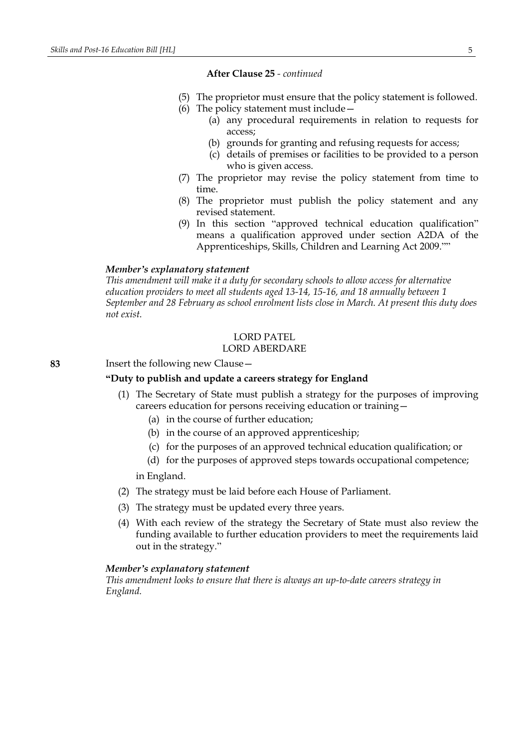**After Clause 25** *- continued*

- (5) The proprietor must ensure that the policy statement is followed.
- (6) The policy statement must include—
	- (a) any procedural requirements in relation to requests for access;
	- (b) grounds for granting and refusing requests for access;
	- (c) details of premises or facilities to be provided to a person who is given access.
- (7) The proprietor may revise the policy statement from time to time.
- (8) The proprietor must publish the policy statement and any revised statement.
- (9) In this section "approved technical education qualification" means a qualification approved under section A2DA of the Apprenticeships, Skills, Children and Learning Act 2009.""

## *Member's explanatory statement*

*This amendment will make it a duty for secondary schools to allow access for alternative education providers to meet all students aged 13-14, 15-16, and 18 annually between 1 September and 28 February as school enrolment lists close in March. At present this duty does not exist.*

# LORD PATEL

# LORD ABERDARE

**83** Insert the following new Clause—

## **"Duty to publish and update a careers strategy for England**

- (1) The Secretary of State must publish a strategy for the purposes of improving careers education for persons receiving education or training—
	- (a) in the course of further education;
	- (b) in the course of an approved apprenticeship;
	- (c) for the purposes of an approved technical education qualification; or
	- (d) for the purposes of approved steps towards occupational competence;

in England.

- (2) The strategy must be laid before each House of Parliament.
- (3) The strategy must be updated every three years.
- (4) With each review of the strategy the Secretary of State must also review the funding available to further education providers to meet the requirements laid out in the strategy."

#### *Member's explanatory statement*

*This amendment looks to ensure that there is always an up-to-date careers strategy in England.*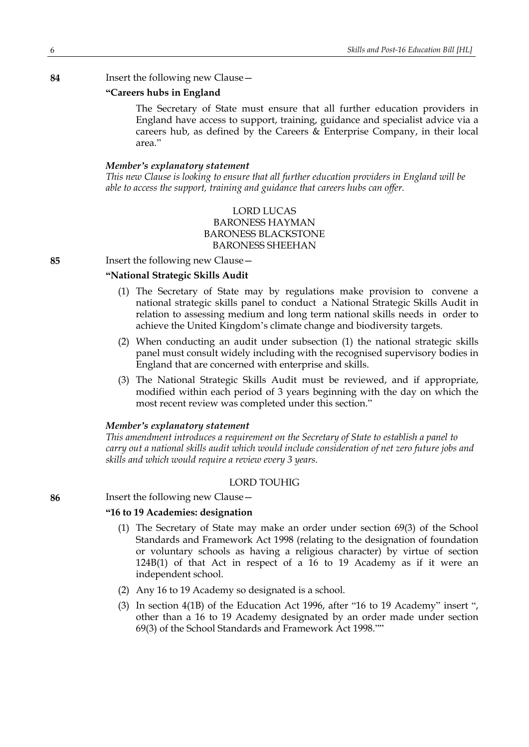## **84** Insert the following new Clause—

## **"Careers hubs in England**

The Secretary of State must ensure that all further education providers in England have access to support, training, guidance and specialist advice via a careers hub, as defined by the Careers & Enterprise Company, in their local area."

#### *Member's explanatory statement*

*This new Clause is looking to ensure that all further education providers in England will be able to access the support, training and guidance that careers hubs can offer.*

# LORD LUCAS BARONESS HAYMAN BARONESS BLACKSTONE BARONESS SHEEHAN

**85** Insert the following new Clause—

# **"National Strategic Skills Audit?**

- (1) The Secretary of State may by regulations make provision to convene a national strategic skills panel to conduct a National Strategic Skills Audit in relation to assessing medium and long term national skills needs in order to achieve the United Kingdom's climate change and biodiversity targets.
- (2) When conducting an audit under subsection (1) the national strategic skills panel must consult widely including with the recognised supervisory bodies in England that are concerned with enterprise and skills.
- (3) The National Strategic Skills Audit must be reviewed, and if appropriate, modified within each period of 3 years beginning with the day on which the most recent review was completed under this section."

#### *Member's explanatory statement*

*This amendment introduces a requirement on the Secretary of State to establish a panel to carry out a national skills audit which would include consideration of net zero future jobs and skills and which would require a review every 3 years.*

# LORD TOUHIG

**86** Insert the following new Clause—

#### **"16 to 19 Academies: designation**

- (1) The Secretary of State may make an order under section 69(3) of the School Standards and Framework Act 1998 (relating to the designation of foundation or voluntary schools as having a religious character) by virtue of section 124B(1) of that Act in respect of a 16 to 19 Academy as if it were an independent school.
- (2) Any 16 to 19 Academy so designated is a school.
- (3) In section 4(1B) of the Education Act 1996, after "16 to 19 Academy" insert ", other than a 16 to 19 Academy designated by an order made under section 69(3) of the School Standards and Framework Act 1998.""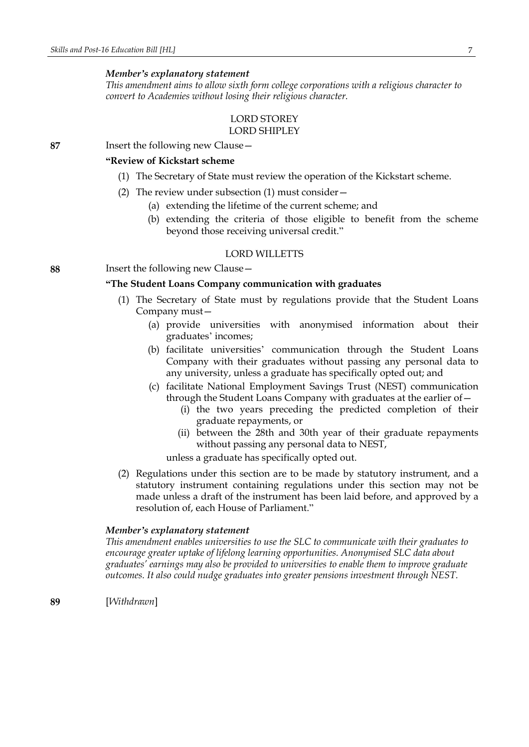*This amendment aims to allow sixth form college corporations with a religious character to convert to Academies without losing their religious character.*

#### LORD STOREY LORD SHIPLEY

**87** Insert the following new Clause—

# **"Review of Kickstart scheme**

- (1) The Secretary of State must review the operation of the Kickstart scheme.
- (2) The review under subsection (1) must consider—
	- (a) extending the lifetime of the current scheme; and
	- (b) extending the criteria of those eligible to benefit from the scheme beyond those receiving universal credit."

## LORD WILLETTS

**88** Insert the following new Clause—

## **"The Student Loans Company communication with graduates**

- (1) The Secretary of State must by regulations provide that the Student Loans Company must—
	- (a) provide universities with anonymised information about their graduates' incomes;
	- (b) facilitate universities' communication through the Student Loans Company with their graduates without passing any personal data to any university, unless a graduate has specifically opted out; and
	- (c) facilitate National Employment Savings Trust (NEST) communication through the Student Loans Company with graduates at the earlier of—
		- (i) the two years preceding the predicted completion of their graduate repayments, or
		- (ii) between the 28th and 30th year of their graduate repayments without passing any personal data to NEST,

unless a graduate has specifically opted out.

(2) Regulations under this section are to be made by statutory instrument, and a statutory instrument containing regulations under this section may not be made unless a draft of the instrument has been laid before, and approved by a resolution of, each House of Parliament."

#### *Member's explanatory statement*

*This amendment enables universities to use the SLC to communicate with their graduates to encourage greater uptake of lifelong learning opportunities. Anonymised SLC data about graduates' earnings may also be provided to universities to enable them to improve graduate outcomes. It also could nudge graduates into greater pensions investment through NEST.*

**89** [*Withdrawn*]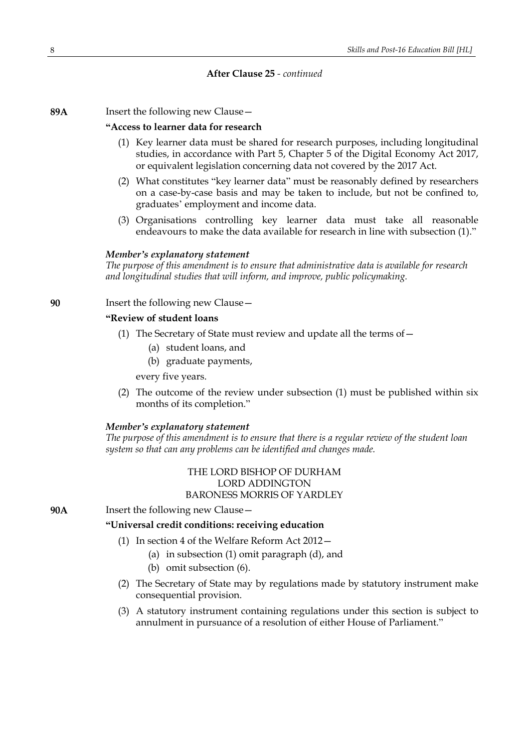## **After Clause 25** *- continued*

**89A** Insert the following new Clause—

#### **"Access to learner data for research**

- (1) Key learner data must be shared for research purposes, including longitudinal studies, in accordance with Part 5, Chapter 5 of the Digital Economy Act 2017, or equivalent legislation concerning data not covered by the 2017 Act.
- (2) What constitutes "key learner data" must be reasonably defined by researchers on a case-by-case basis and may be taken to include, but not be confined to, graduates' employment and income data.
- (3) Organisations controlling key learner data must take all reasonable endeavours to make the data available for research in line with subsection (1)."

#### *Member's explanatory statement*

*The purpose of this amendment is to ensure that administrative data is available for research and longitudinal studies that will inform, and improve, public policymaking.*

**90** Insert the following new Clause—

# **"Review of student loans**

- (1) The Secretary of State must review and update all the terms of—
	- (a) student loans, and
	- (b) graduate payments,

every five years.

(2) The outcome of the review under subsection (1) must be published within six months of its completion."

## *Member's explanatory statement*

*The purpose of this amendment is to ensure that there is a regular review of the student loan system so that can any problems can be identified and changes made.*

> THE LORD BISHOP OF DURHAM LORD ADDINGTON BARONESS MORRIS OF YARDLEY

**90A** Insert the following new Clause—

## **"Universal credit conditions: receiving education**

- (1) In section 4 of the Welfare Reform Act 2012—
	- (a) in subsection (1) omit paragraph (d), and
	- (b) omit subsection (6).
- (2) The Secretary of State may by regulations made by statutory instrument make consequential provision.
- (3) A statutory instrument containing regulations under this section is subject to annulment in pursuance of a resolution of either House of Parliament."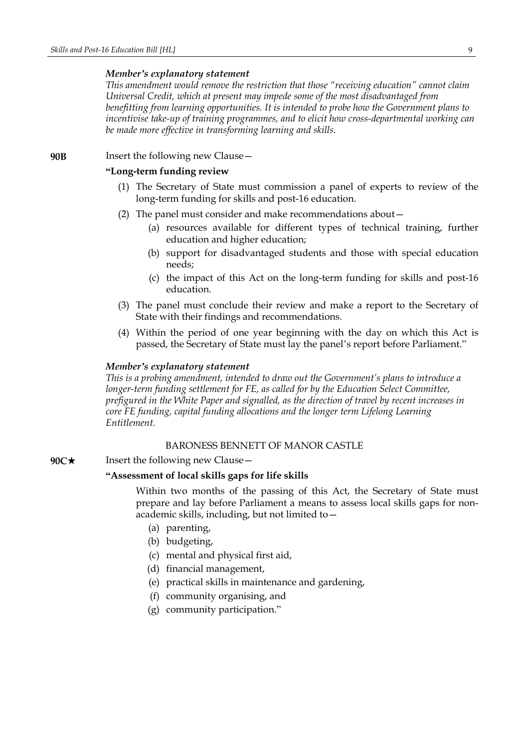*This amendment would remove the restriction that those "receiving education" cannot claim Universal Credit, which at present may impede some of the most disadvantaged from benefitting from learning opportunities. It is intended to probe how the Government plans to incentivise take-up of training programmes, and to elicit how cross-departmental working can be made more effective in transforming learning and skills.*

**90B** Insert the following new Clause—

#### **"Long-term funding review**

- (1) The Secretary of State must commission a panel of experts to review of the long-term funding for skills and post-16 education.
- (2) The panel must consider and make recommendations about—
	- (a) resources available for different types of technical training, further education and higher education;
	- (b) support for disadvantaged students and those with special education needs;
	- (c) the impact of this Act on the long-term funding for skills and post-16 education.
- (3) The panel must conclude their review and make a report to the Secretary of State with their findings and recommendations.
- (4) Within the period of one year beginning with the day on which this Act is passed, the Secretary of State must lay the panel's report before Parliament."

#### *Member's explanatory statement*

*This is a probing amendment, intended to draw out the Government's plans to introduce a longer-term funding settlement for FE, as called for by the Education Select Committee, prefigured in the White Paper and signalled, as the direction of travel by recent increases in core FE funding, capital funding allocations and the longer term Lifelong Learning Entitlement.*

## BARONESS BENNETT OF MANOR CASTLE

## **90C**★ Insert the following new Clause —

## **"Assessment of local skills gaps for life skills**

Within two months of the passing of this Act, the Secretary of State must prepare and lay before Parliament a means to assess local skills gaps for nonacademic skills, including, but not limited to—

- (a) parenting,
- (b) budgeting,
- (c) mental and physical first aid,
- (d) financial management,
- (e) practical skills in maintenance and gardening,
- (f) community organising, and
- (g) community participation."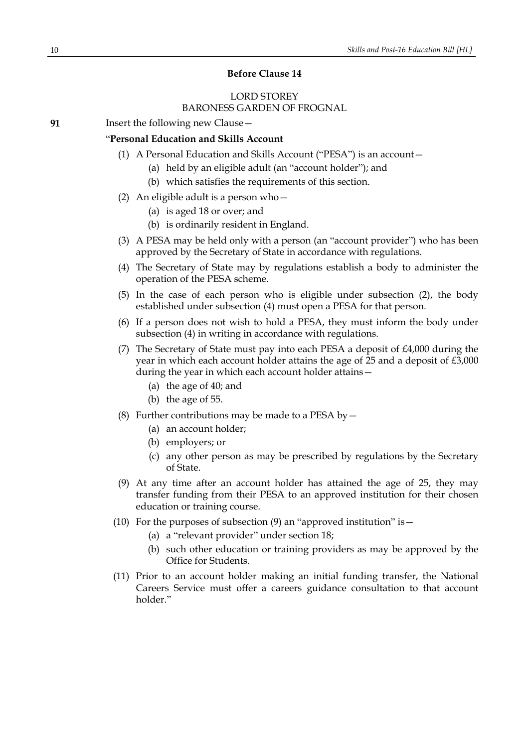## **Before Clause 14**

# LORD STOREY BARONESS GARDEN OF FROGNAL

**91** Insert the following new Clause—

# "**Personal Education and Skills Account**

- (1) A Personal Education and Skills Account ("PESA") is an account—
	- (a) held by an eligible adult (an "account holder"); and
	- (b) which satisfies the requirements of this section.
- (2) An eligible adult is a person who  $-$ 
	- (a) is aged 18 or over; and
	- (b) is ordinarily resident in England.
- (3) A PESA may be held only with a person (an "account provider") who has been approved by the Secretary of State in accordance with regulations.
- (4) The Secretary of State may by regulations establish a body to administer the operation of the PESA scheme.
- (5) In the case of each person who is eligible under subsection (2), the body established under subsection (4) must open a PESA for that person.
- (6) If a person does not wish to hold a PESA, they must inform the body under subsection (4) in writing in accordance with regulations.
- (7) The Secretary of State must pay into each PESA a deposit of £4,000 during the year in which each account holder attains the age of 25 and a deposit of £3,000 during the year in which each account holder attains—
	- (a) the age of 40; and
	- (b) the age of 55.
- (8) Further contributions may be made to a PESA by  $-$ 
	- (a) an account holder;
	- (b) employers; or
	- (c) any other person as may be prescribed by regulations by the Secretary of State.
- (9) At any time after an account holder has attained the age of 25, they may transfer funding from their PESA to an approved institution for their chosen education or training course.
- (10) For the purposes of subsection  $(9)$  an "approved institution" is  $-$ 
	- (a) a "relevant provider" under section 18;
	- (b) such other education or training providers as may be approved by the Office for Students.
- (11) Prior to an account holder making an initial funding transfer, the National Careers Service must offer a careers guidance consultation to that account holder."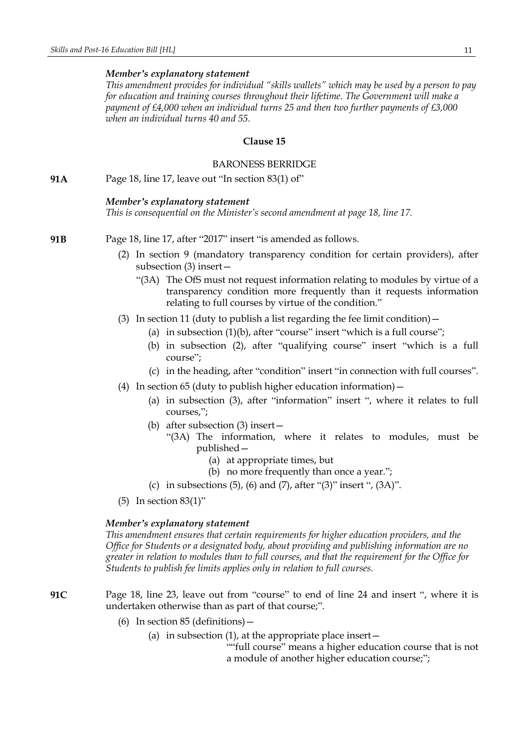*This amendment provides for individual "skills wallets" which may be used by a person to pay for education and training courses throughout their lifetime. The Government will make a payment of £4,000 when an individual turns 25 and then two further payments of £3,000 when an individual turns 40 and 55.*

## **Clause 15**

## BARONESS BERRIDGE

**91A** Page 18, line 17, leave out "In section 83(1) of"

#### *Member's explanatory statement*

*This is consequential on the Minister's second amendment at page 18, line 17.*

- **91B** Page 18, line 17, after "2017" insert "is amended as follows.
	- (2) In section 9 (mandatory transparency condition for certain providers), after subsection (3) insert—
		- "(3A) The OfS must not request information relating to modules by virtue of a transparency condition more frequently than it requests information relating to full courses by virtue of the condition."
	- (3) In section 11 (duty to publish a list regarding the fee limit condition)  $-$ 
		- (a) in subsection  $(1)(b)$ , after "course" insert "which is a full course";
		- (b) in subsection (2), after "qualifying course" insert "which is a full course";
		- (c) in the heading, after "condition" insert "in connection with full courses".
	- (4) In section 65 (duty to publish higher education information)—
		- (a) in subsection (3), after "information" insert ", where it relates to full courses,";
		- (b) after subsection (3) insert—
			- "(3A) The information, where it relates to modules, must be published—
				- (a) at appropriate times, but
				- (b) no more frequently than once a year.";
		- (c) in subsections  $(5)$ ,  $(6)$  and  $(7)$ , after " $(3)$ " insert ",  $(3A)$ ".
	- (5) In section 83(1)"

## *Member's explanatory statement*

*This amendment ensures that certain requirements for higher education providers, and the Office for Students or a designated body, about providing and publishing information are no greater in relation to modules than to full courses, and that the requirement for the Office for Students to publish fee limits applies only in relation to full courses.*

**91C** Page 18, line 23, leave out from "course" to end of line 24 and insert ", where it is undertaken otherwise than as part of that course;".

- (6) In section 85 (definitions)—
	- (a) in subsection  $(1)$ , at the appropriate place insert  $-$

""full course" means a higher education course that is not a module of another higher education course;";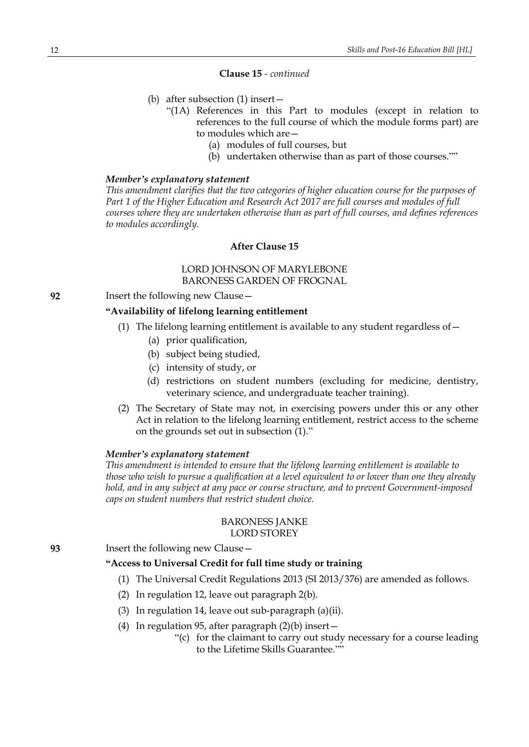## **Clause 15** *- continued*

- (b) after subsection (1) insert—
	- "(1A) References in this Part to modules (except in relation to references to the full course of which the module forms part) are to modules which are—
		- (a) modules of full courses, but
		- (b) undertaken otherwise than as part of those courses.""

#### *Member's explanatory statement*

*This amendment clarifies that the two categories of higher education course for the purposes of Part 1 of the Higher Education and Research Act 2017 are full courses and modules of full courses where they are undertaken otherwise than as part of full courses, and defines references to modules accordingly.*

# **After Clause 15**

# LORD JOHNSON OF MARYLEBONE BARONESS GARDEN OF FROGNAL

**92** Insert the following new Clause—

# **"Availability of lifelong learning entitlement**

- (1) The lifelong learning entitlement is available to any student regardless of—
	- (a) prior qualification,
	- (b) subject being studied,
	- (c) intensity of study, or
	- (d) restrictions on student numbers (excluding for medicine, dentistry, veterinary science, and undergraduate teacher training).
- (2) The Secretary of State may not, in exercising powers under this or any other Act in relation to the lifelong learning entitlement, restrict access to the scheme on the grounds set out in subsection (1)."

## *Member's explanatory statement*

*This amendment is intended to ensure that the lifelong learning entitlement is available to those who wish to pursue a qualification at a level equivalent to or lower than one they already hold, and in any subject at any pace or course structure, and to prevent Government-imposed caps on student numbers that restrict student choice.*

## BARONESS JANKE LORD STOREY

**93** Insert the following new Clause—

## **"Access to Universal Credit for full time study or training**

- (1) The Universal Credit Regulations 2013 (SI 2013/376) are amended as follows.
- (2) In regulation 12, leave out paragraph 2(b).
- (3) In regulation 14, leave out sub-paragraph (a)(ii).
- (4) In regulation 95, after paragraph  $(2)(b)$  insert
	- "(c) for the claimant to carry out study necessary for a course leading to the Lifetime Skills Guarantee.""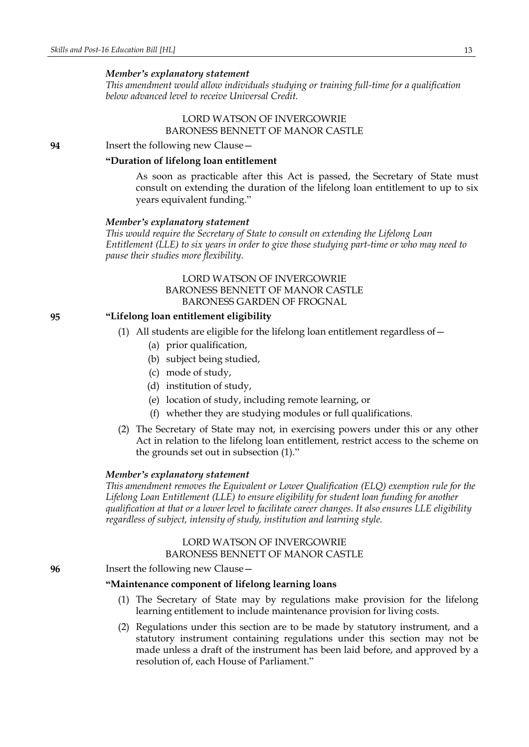*This amendment would allow individuals studying or training full-time for a qualification below advanced level to receive Universal Credit.*

# LORD WATSON OF INVERGOWRIE BARONESS BENNETT OF MANOR CASTLE

**94** Insert the following new Clause—

## **"Duration of lifelong loan entitlement**

As soon as practicable after this Act is passed, the Secretary of State must consult on extending the duration of the lifelong loan entitlement to up to six years equivalent funding."

#### *Member's explanatory statement*

*This would require the Secretary of State to consult on extending the Lifelong Loan Entitlement (LLE) to six years in order to give those studying part-time or who may need to pause their studies more flexibility.*

## LORD WATSON OF INVERGOWRIE BARONESS BENNETT OF MANOR CASTLE BARONESS GARDEN OF FROGNAL

# **95 "Lifelong loan entitlement eligibility**

- (1) All students are eligible for the lifelong loan entitlement regardless of—
	- (a) prior qualification,
	- (b) subject being studied,
	- (c) mode of study,
	- (d) institution of study,
	- (e) location of study, including remote learning, or
	- (f) whether they are studying modules or full qualifications.
- (2) The Secretary of State may not, in exercising powers under this or any other Act in relation to the lifelong loan entitlement, restrict access to the scheme on the grounds set out in subsection (1)."

#### *Member's explanatory statement*

*This amendment removes the Equivalent or Lower Qualification (ELQ) exemption rule for the Lifelong Loan Entitlement (LLE) to ensure eligibility for student loan funding for another qualification at that or a lower level to facilitate career changes. It also ensures LLE eligibility regardless of subject, intensity of study, institution and learning style.*

## LORD WATSON OF INVERGOWRIE BARONESS BENNETT OF MANOR CASTLE

#### **96** Insert the following new Clause—

# **"Maintenance component of lifelong learning loans**

- (1) The Secretary of State may by regulations make provision for the lifelong learning entitlement to include maintenance provision for living costs.
- (2) Regulations under this section are to be made by statutory instrument, and a statutory instrument containing regulations under this section may not be made unless a draft of the instrument has been laid before, and approved by a resolution of, each House of Parliament."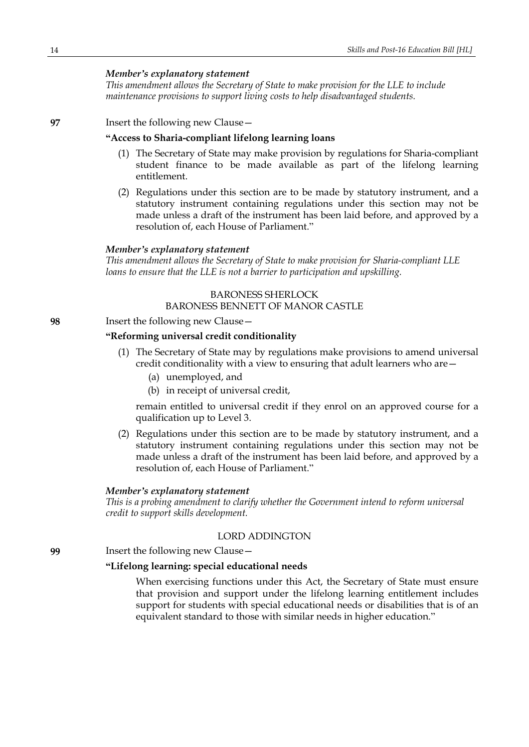*This amendment allows the Secretary of State to make provision for the LLE to include maintenance provisions to support living costs to help disadvantaged students.*

# **97** Insert the following new Clause—

## **"Access to Sharia-compliant lifelong learning loans**

- (1) The Secretary of State may make provision by regulations for Sharia-compliant student finance to be made available as part of the lifelong learning entitlement.
- (2) Regulations under this section are to be made by statutory instrument, and a statutory instrument containing regulations under this section may not be made unless a draft of the instrument has been laid before, and approved by a resolution of, each House of Parliament."

## *Member's explanatory statement*

*This amendment allows the Secretary of State to make provision for Sharia-compliant LLE loans to ensure that the LLE is not a barrier to participation and upskilling.*

#### BARONESS SHERLOCK

#### BARONESS BENNETT OF MANOR CASTLE

#### **98** Insert the following new Clause—

# **"Reforming universal credit conditionality**

- (1) The Secretary of State may by regulations make provisions to amend universal credit conditionality with a view to ensuring that adult learners who are—
	- (a) unemployed, and
	- (b) in receipt of universal credit,

remain entitled to universal credit if they enrol on an approved course for a qualification up to Level 3.

(2) Regulations under this section are to be made by statutory instrument, and a statutory instrument containing regulations under this section may not be made unless a draft of the instrument has been laid before, and approved by a resolution of, each House of Parliament."

#### *Member's explanatory statement*

*This is a probing amendment to clarify whether the Government intend to reform universal credit to support skills development.*

## LORD ADDINGTON

**99** Insert the following new Clause—

## **"Lifelong learning: special educational needs**

When exercising functions under this Act, the Secretary of State must ensure that provision and support under the lifelong learning entitlement includes support for students with special educational needs or disabilities that is of an equivalent standard to those with similar needs in higher education."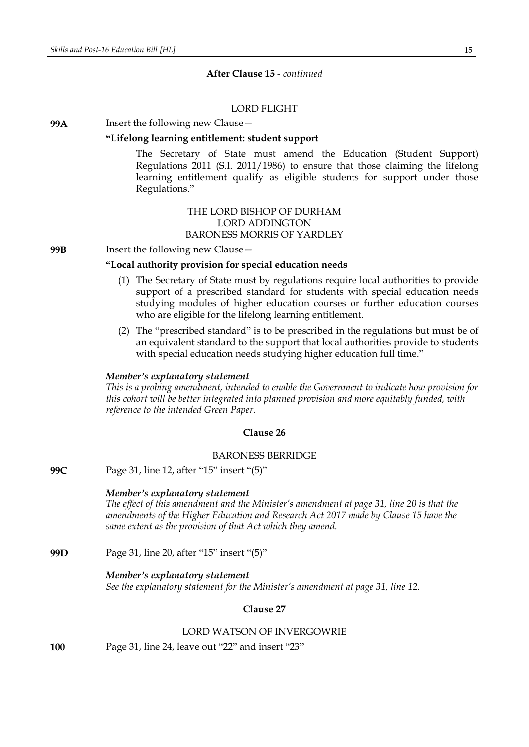#### **After Clause 15** *- continued*

## LORD FLIGHT

## **99A** Insert the following new Clause—

## **"Lifelong learning entitlement: student support**

The Secretary of State must amend the Education (Student Support) Regulations 2011 (S.I. 2011/1986) to ensure that those claiming the lifelong learning entitlement qualify as eligible students for support under those Regulations."

# THE LORD BISHOP OF DURHAM LORD ADDINGTON BARONESS MORRIS OF YARDLEY

**99B** Insert the following new Clause—

## **"Local authority provision for special education needs**

- (1) The Secretary of State must by regulations require local authorities to provide support of a prescribed standard for students with special education needs studying modules of higher education courses or further education courses who are eligible for the lifelong learning entitlement.
- (2) The "prescribed standard" is to be prescribed in the regulations but must be of an equivalent standard to the support that local authorities provide to students with special education needs studying higher education full time."

#### *Member's explanatory statement*

*This is a probing amendment, intended to enable the Government to indicate how provision for this cohort will be better integrated into planned provision and more equitably funded, with reference to the intended Green Paper.*

#### **Clause 26**

#### BARONESS BERRIDGE

**99C** Page 31, line 12, after "15" insert "(5)"

#### *Member's explanatory statement*

*The effect of this amendment and the Minister's amendment at page 31, line 20 is that the amendments of the Higher Education and Research Act 2017 made by Clause 15 have the same extent as the provision of that Act which they amend.*

**99D** Page 31, line 20, after "15" insert "(5)"

#### *Member's explanatory statement*

*See the explanatory statement for the Minister's amendment at page 31, line 12.*

## **Clause 27**

#### LORD WATSON OF INVERGOWRIE

**100** Page 31, line 24, leave out "22" and insert "23"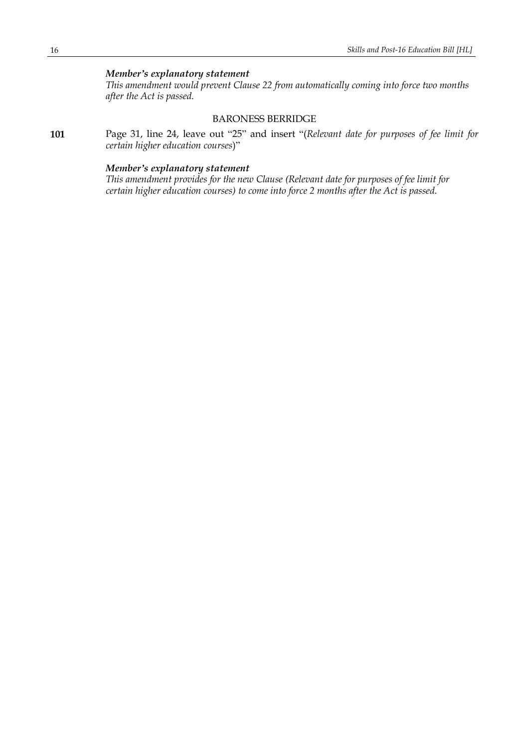*This amendment would prevent Clause 22 from automatically coming into force two months after the Act is passed.*

# BARONESS BERRIDGE

**101** Page 31, line 24, leave out "25" and insert "(*Relevant date for purposes of fee limit for certain higher education courses*)"

## *Member's explanatory statement*

*This amendment provides for the new Clause (Relevant date for purposes of fee limit for certain higher education courses) to come into force 2 months after the Act is passed.*